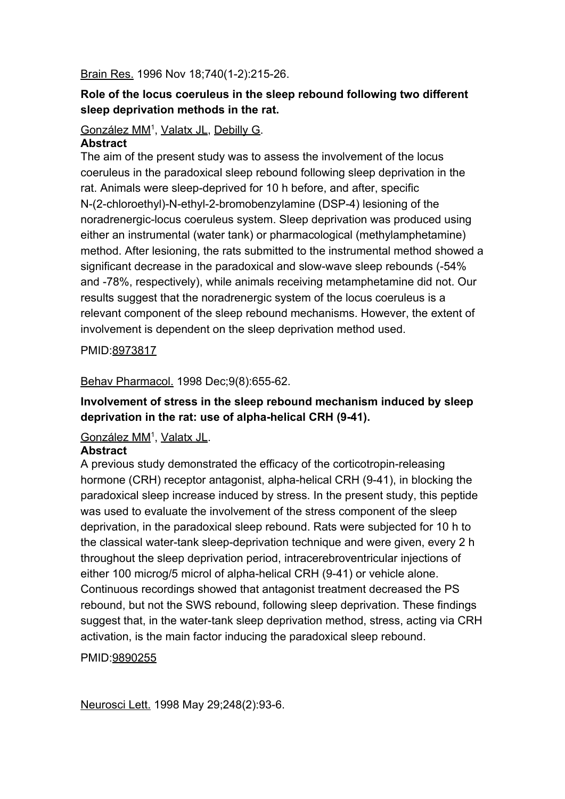#### Brain Res. 1996 Nov 18;740(1-2):215-26.

## **Role of the locus coeruleus in the sleep rebound following two different sleep deprivation methods in the rat.**

### [González MM](https://www.ncbi.nlm.nih.gov/pubmed/?term=Gonz%C3%A1lez%20MM%5BAuthor%5D&cauthor=true&cauthor_uid=8973817)<sup>1</sup>, [Valatx JL](https://www.ncbi.nlm.nih.gov/pubmed/?term=Valatx%20JL%5BAuthor%5D&cauthor=true&cauthor_uid=8973817), [Debilly G.](https://www.ncbi.nlm.nih.gov/pubmed/?term=Debilly%20G%5BAuthor%5D&cauthor=true&cauthor_uid=8973817)

#### **Abstract**

The aim of the present study was to assess the involvement of the locus coeruleus in the paradoxical sleep rebound following sleep deprivation in the rat. Animals were sleep-deprived for 10 h before, and after, specific N-(2-chloroethyl)-N-ethyl-2-bromobenzylamine (DSP-4) lesioning of the noradrenergic-locus coeruleus system. Sleep deprivation was produced using either an instrumental (water tank) or pharmacological (methylamphetamine) method. After lesioning, the rats submitted to the instrumental method showed a significant decrease in the paradoxical and slow-wave sleep rebounds (-54% and -78%, respectively), while animals receiving metamphetamine did not. Our results suggest that the noradrenergic system of the locus coeruleus is a relevant component of the sleep rebound mechanisms. However, the extent of involvement is dependent on the sleep deprivation method used.

PMID:[8973817](https://www.ncbi.nlm.nih.gov/pubmed/8973817)

#### Behav Pharmacol. 1998 Dec;9(8):655-62.

## **Involvement of stress in the sleep rebound mechanism induced by sleep deprivation in the rat: use of alpha-helical CRH (9-41).**

#### [González MM](https://www.ncbi.nlm.nih.gov/pubmed/?term=Gonz%C3%A1lez%20MM%5BAuthor%5D&cauthor=true&cauthor_uid=9890255)<sup>1</sup>, [Valatx JL](https://www.ncbi.nlm.nih.gov/pubmed/?term=Valatx%20JL%5BAuthor%5D&cauthor=true&cauthor_uid=9890255).

#### **Abstract**

A previous study demonstrated the efficacy of the corticotropin-releasing hormone (CRH) receptor antagonist, alpha-helical CRH (9-41), in blocking the paradoxical sleep increase induced by stress. In the present study, this peptide was used to evaluate the involvement of the stress component of the sleep deprivation, in the paradoxical sleep rebound. Rats were subjected for 10 h to the classical water-tank sleep-deprivation technique and were given, every 2 h throughout the sleep deprivation period, intracerebroventricular injections of either 100 microg/5 microl of alpha-helical CRH (9-41) or vehicle alone. Continuous recordings showed that antagonist treatment decreased the PS rebound, but not the SWS rebound, following sleep deprivation. These findings suggest that, in the water-tank sleep deprivation method, stress, acting via CRH activation, is the main factor inducing the paradoxical sleep rebound.

#### PMID:[9890255](https://www.ncbi.nlm.nih.gov/pubmed/9890255)

Neurosci Lett. 1998 May 29;248(2):93-6.